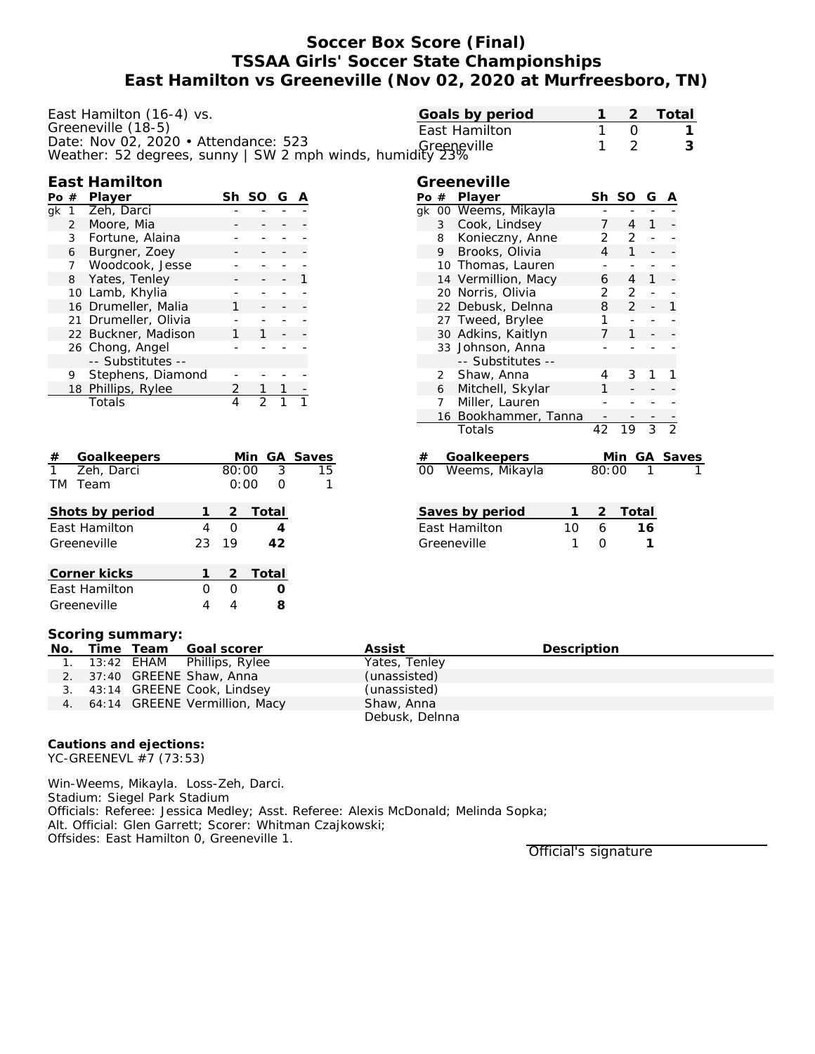# **Soccer Box Score (Final) TSSAA Girls' Soccer State Championships East Hamilton vs Greeneville (Nov 02, 2020 at Murfreesboro, TN)**

| East Hamilton (16-4) vs.                                                                                         | Goals by period |     | Total |
|------------------------------------------------------------------------------------------------------------------|-----------------|-----|-------|
| Greeneville (18-5)                                                                                               | East Hamilton   | - 0 |       |
| Date: Nov 02, 2020 • Attendance: 523<br>Greeneville<br>Weather: 52 degrees, sunny   SW 2 mph winds, humidity 23% |                 |     |       |
|                                                                                                                  |                 |     |       |

### **East Hamilton**

| Pο | #              | Player               | Sh. | -SO | G |  |
|----|----------------|----------------------|-----|-----|---|--|
| ak | 1              | Zeh, Darci           |     |     |   |  |
|    | $\overline{2}$ | Moore, Mia           |     |     |   |  |
|    | 3              | Fortune, Alaina      |     |     |   |  |
|    | 6              | Burgner, Zoey        |     |     |   |  |
|    | 7              | Woodcook, Jesse      |     |     |   |  |
|    | 8              | Yates, Tenley        |     |     |   |  |
|    |                | 10 Lamb, Khylia      |     |     |   |  |
|    |                | 16 Drumeller, Malia  |     |     |   |  |
|    |                | 21 Drumeller, Olivia |     |     |   |  |
|    |                | 22 Buckner, Madison  |     |     |   |  |
|    |                | 26 Chong, Angel      |     |     |   |  |
|    |                | -- Substitutes --    |     |     |   |  |
|    | 9              | Stephens, Diamond    |     |     |   |  |
|    |                | 18 Phillips, Rylee   |     |     |   |  |
|    |                | Totals               |     | フ   |   |  |

| #            | Goalkeepers     |    |       | Min GA Saves |    |
|--------------|-----------------|----|-------|--------------|----|
| $\mathbf{1}$ | Zeh, Darci      |    | 80:00 | 3            | 15 |
| TM           | Team            |    |       | 0:00         | 1  |
|              | Shots by period |    | 2     | Total        |    |
|              | East Hamilton   | 4  | O     |              |    |
|              | Greeneville     | 23 | 19    | 42           |    |
|              | Corner kicks    |    | 2     | Total        |    |
|              | East Hamilton   | Ω  | O     |              |    |
|              | Greeneville     |    |       |              |    |

|                                | 11TY 23%       |                     |   |                |                 |                |                |  |
|--------------------------------|----------------|---------------------|---|----------------|-----------------|----------------|----------------|--|
|                                |                | Greeneville         |   |                |                 |                |                |  |
|                                |                | Po # Player         |   |                | Sh SO           | G              | Α              |  |
| qk                             |                | 00 Weems, Mikayla   |   |                |                 |                |                |  |
|                                | $\mathbf{3}$   | Cook, Lindsey       |   | $7^{\circ}$    | $\overline{4}$  | 1              |                |  |
|                                | 8              | Konieczny, Anne     |   | $\overline{2}$ | $\overline{2}$  | $\Box$         |                |  |
|                                | 9              | Brooks, Olivia      |   | 4              | $\mathbf{1}$    |                |                |  |
|                                |                | 10 Thomas, Lauren   |   | ÷,             |                 | -              |                |  |
|                                |                | 14 Vermillion, Macy |   | 6              | $\overline{4}$  | $\mathbf{1}$   |                |  |
|                                |                | 20 Norris, Olivia   |   | $\overline{2}$ | $\overline{2}$  | ÷,             |                |  |
|                                |                | 22 Debusk, Delnna   |   | 8              | $\overline{2}$  | $\overline{a}$ | 1              |  |
|                                |                | 27 Tweed, Brylee    |   | 1              | $\overline{a}$  |                |                |  |
|                                |                | 30 Adkins, Kaitlyn  |   | 7              | $\mathbf{1}$    |                |                |  |
|                                |                | 33 Johnson, Anna    |   |                |                 |                |                |  |
|                                |                | -- Substitutes --   |   |                |                 |                |                |  |
|                                | $\overline{2}$ | Shaw, Anna          |   | 4              | 3               | 1              | 1              |  |
|                                | 6              | Mitchell, Skylar    |   | 1              |                 |                |                |  |
|                                | $\overline{7}$ | Miller, Lauren      |   |                |                 |                |                |  |
|                                | 16             | Bookhammer, Tanna   |   |                |                 |                |                |  |
|                                |                | Totals              |   | 42             | $\overline{19}$ | $\overline{3}$ | $\overline{2}$ |  |
|                                |                | Goalkeepers         |   |                | Min GA Saves    |                |                |  |
| 00                             |                | Weems, Mikayla      |   | 80:00          |                 |                |                |  |
|                                |                |                     |   |                |                 |                |                |  |
|                                |                | Saves by period     | 1 | 2              | Total           |                |                |  |
| 6<br>East Hamilton<br>10<br>16 |                |                     |   |                |                 |                |                |  |
| 1<br>Greeneville               |                |                     |   | 0              |                 | 1              |                |  |
|                                |                |                     |   |                |                 |                |                |  |
|                                |                |                     |   |                |                 |                |                |  |
|                                |                |                     |   |                |                 |                |                |  |
|                                |                |                     |   |                |                 |                |                |  |
|                                |                |                     |   |                |                 |                |                |  |
|                                |                |                     |   |                |                 |                |                |  |

#### **Scoring summary:**

|  | No. Time Team Goal scorer        | Assist         | Description |
|--|----------------------------------|----------------|-------------|
|  | 1. 13:42 EHAM Phillips, Rylee    | Yates, Tenley  |             |
|  | 2. 37:40 GREENE Shaw, Anna       | (unassisted)   |             |
|  | 3. 43:14 GREENE Cook, Lindsey    | (unassisted)   |             |
|  | 4. 64:14 GREENE Vermillion, Macy | Shaw, Anna     |             |
|  |                                  | Debusk, Delnna |             |

**Cautions and ejections:** YC-GREENEVL #7 (73:53)

Win-Weems, Mikayla. Loss-Zeh, Darci. Stadium: Siegel Park Stadium Officials: Referee: Jessica Medley; Asst. Referee: Alexis McDonald; Melinda Sopka; Alt. Official: Glen Garrett; Scorer: Whitman Czajkowski; Offsides: East Hamilton 0, Greeneville 1.

Official's signature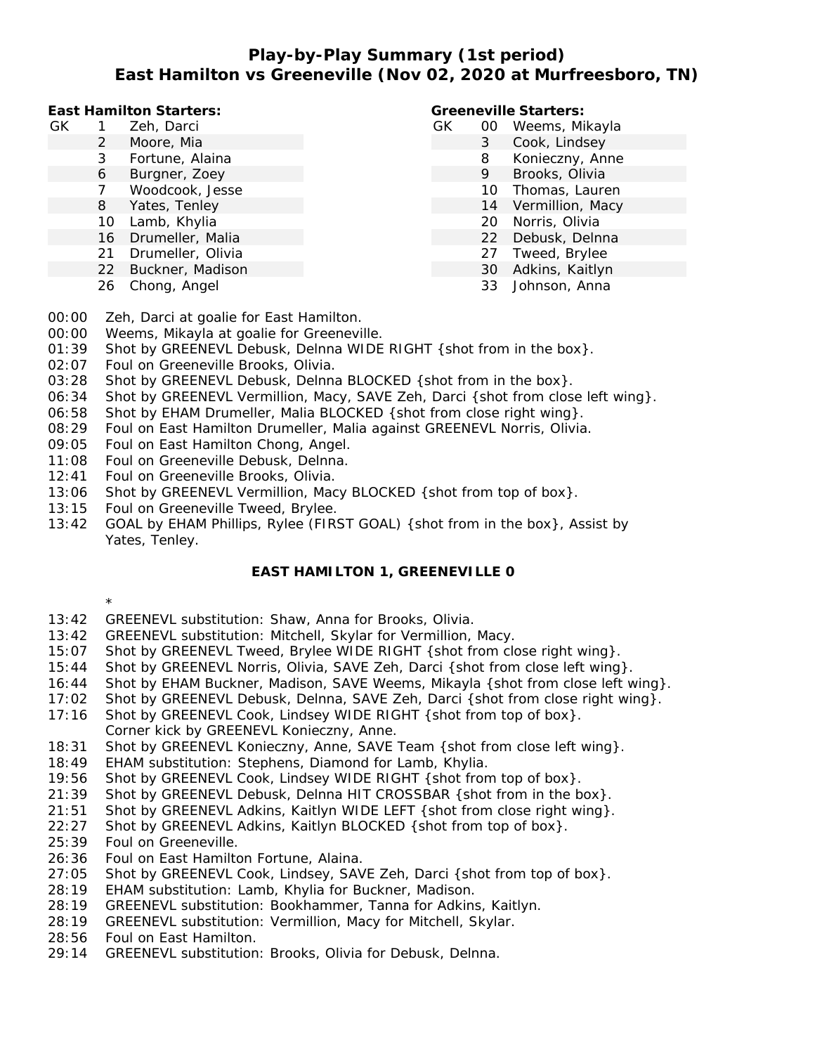# **Play-by-Play Summary (1st period) East Hamilton vs Greeneville (Nov 02, 2020 at Murfreesboro, TN)**

**East Hamilton Starters:**

- GK 1 Zeh, Darci
	- 2 Moore, Mia
		- 3 Fortune, Alaina
		- 6 Burgner, Zoey
		- 7 Woodcook, Jesse
	- 8 Yates, Tenley
	- 10 Lamb, Khylia
	- 16 Drumeller, Malia
	- 21 Drumeller, Olivia
	- 22 Buckner, Madison
	- 26 Chong, Angel

#### **Greeneville Starters:**

- GK 00 Weems, Mikayla 3 Cook, Lindsey 8 Konieczny, Anne 9 Brooks, Olivia 10 Thomas, Lauren
	- 14 Vermillion, Macy
	- 20 Norris, Olivia
	- 22 Debusk, Delnna
	- 27 Tweed, Brylee
	- 30 Adkins, Kaitlyn
	- 33 Johnson, Anna

- 00:00 Zeh, Darci at goalie for East Hamilton.
- 00:00 Weems, Mikayla at goalie for Greeneville.
- 01:39 Shot by GREENEVL Debusk, Delnna WIDE RIGHT { shot from in the box}.
- 02:07 Foul on Greeneville Brooks, Olivia.
- 03:28 Shot by GREENEVL Debusk, Delnna BLOCKED { shot from in the box}.
- 06:34 Shot by GREENEVL Vermillion, Macy, SAVE Zeh, Darci {shot from close left wing}.
- 06:58 Shot by EHAM Drumeller, Malia BLOCKED { shot from close right wing }.
- 08:29 Foul on East Hamilton Drumeller, Malia against GREENEVL Norris, Olivia.
- 09:05 Foul on East Hamilton Chong, Angel.
- 11:08 Foul on Greeneville Debusk, Delnna.
- 12:41 Foul on Greeneville Brooks, Olivia.
- 13:06 Shot by GREENEVL Vermillion, Macy BLOCKED {shot from top of box}.
- 13:15 Foul on Greeneville Tweed, Brylee.
- 13:42 GOAL by EHAM Phillips, Rylee (FIRST GOAL) {shot from in the box}, Assist by Yates, Tenley.

### **EAST HAMILTON 1, GREENEVILLE 0**

- \*
- 13:42 GREENEVL substitution: Shaw, Anna for Brooks, Olivia.
- 13:42 GREENEVL substitution: Mitchell, Skylar for Vermillion, Macy.
- 15:07 Shot by GREENEVL Tweed, Brylee WIDE RIGHT {shot from close right wing}.
- 15:44 Shot by GREENEVL Norris, Olivia, SAVE Zeh, Darci {shot from close left wing}.
- 16:44 Shot by EHAM Buckner, Madison, SAVE Weems, Mikayla {shot from close left wing}.
- 17:02 Shot by GREENEVL Debusk, Delnna, SAVE Zeh, Darci {shot from close right wing}.
- 17:16 Shot by GREENEVL Cook, Lindsey WIDE RIGHT {shot from top of box}.
- Corner kick by GREENEVL Konieczny, Anne.
- 18:31 Shot by GREENEVL Konieczny, Anne, SAVE Team {shot from close left wing}.
- 18:49 EHAM substitution: Stephens, Diamond for Lamb, Khylia.
- 19:56 Shot by GREENEVL Cook, Lindsey WIDE RIGHT {shot from top of box}.
- 21:39 Shot by GREENEVL Debusk, Delnna HIT CROSSBAR {shot from in the box}.
- 21:51 Shot by GREENEVL Adkins, Kaitlyn WIDE LEFT {shot from close right wing}.
- 22:27 Shot by GREENEVL Adkins, Kaitlyn BLOCKED {shot from top of box}.
- 25:39 Foul on Greeneville.
- 26:36 Foul on East Hamilton Fortune, Alaina.
- 27:05 Shot by GREENEVL Cook, Lindsey, SAVE Zeh, Darci {shot from top of box}.
- 28:19 EHAM substitution: Lamb, Khylia for Buckner, Madison.
- 28:19 GREENEVL substitution: Bookhammer, Tanna for Adkins, Kaitlyn.
- 28:19 GREENEVL substitution: Vermillion, Macy for Mitchell, Skylar.
- 28:56 Foul on East Hamilton.
- 29:14 GREENEVL substitution: Brooks, Olivia for Debusk, Delnna.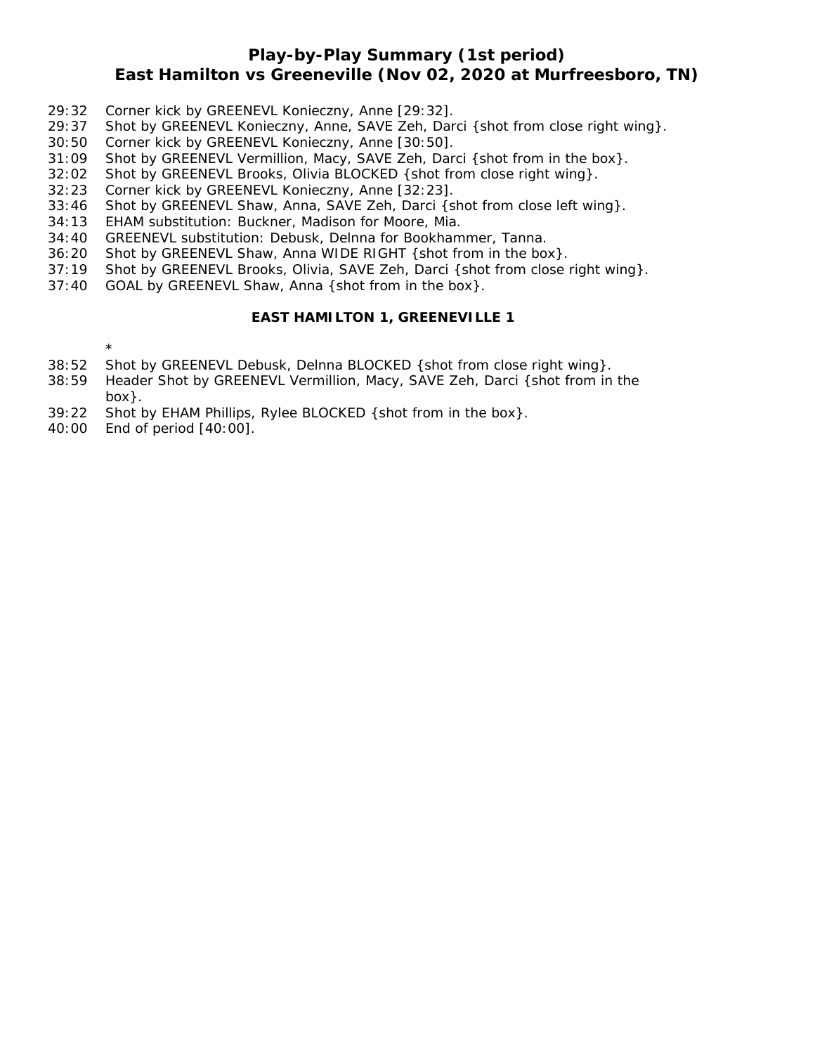# **Play-by-Play Summary (1st period) East Hamilton vs Greeneville (Nov 02, 2020 at Murfreesboro, TN)**

- 29:32 Corner kick by GREENEVL Konieczny, Anne [29:32].
- 29:37 Shot by GREENEVL Konieczny, Anne, SAVE Zeh, Darci {shot from close right wing}.
- 30:50 Corner kick by GREENEVL Konieczny, Anne [30:50].
- 31:09 Shot by GREENEVL Vermillion, Macy, SAVE Zeh, Darci {shot from in the box}.
- 32:02 Shot by GREENEVL Brooks, Olivia BLOCKED {shot from close right wing}.
- 32:23 Corner kick by GREENEVL Konieczny, Anne [32:23].
- 33:46 Shot by GREENEVL Shaw, Anna, SAVE Zeh, Darci {shot from close left wing}.
- 34:13 EHAM substitution: Buckner, Madison for Moore, Mia.
- 34:40 GREENEVL substitution: Debusk, Delnna for Bookhammer, Tanna.
- 36:20 Shot by GREENEVL Shaw, Anna WIDE RIGHT {shot from in the box}.
- 37:19 Shot by GREENEVL Brooks, Olivia, SAVE Zeh, Darci {shot from close right wing}.
- 37:40 GOAL by GREENEVL Shaw, Anna {shot from in the box}.

### **EAST HAMILTON 1, GREENEVILLE 1**

\*

- 38:52 Shot by GREENEVL Debusk, Delnna BLOCKED {shot from close right wing}.
- 38:59 Header Shot by GREENEVL Vermillion, Macy, SAVE Zeh, Darci {shot from in the box}.
- 39:22 Shot by EHAM Phillips, Rylee BLOCKED {shot from in the box}.
- 40:00 End of period [40:00].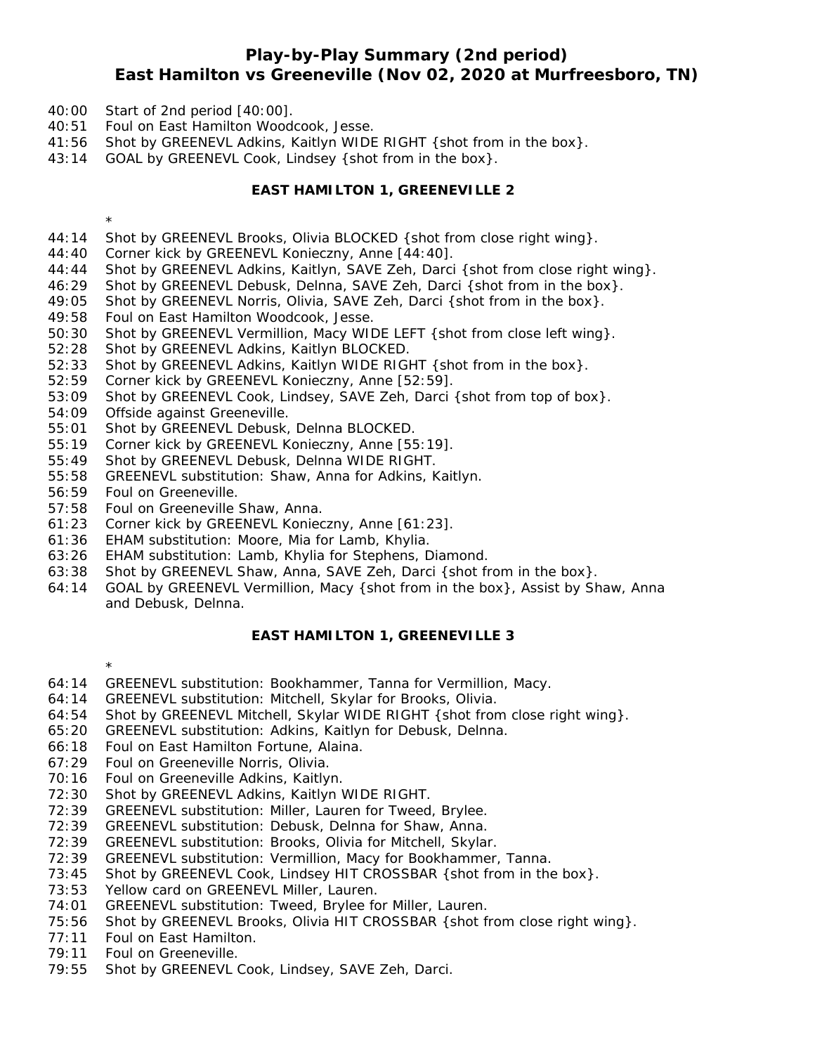## **Play-by-Play Summary (2nd period) East Hamilton vs Greeneville (Nov 02, 2020 at Murfreesboro, TN)**

- 40:00 Start of 2nd period [40:00].
- 40:51 Foul on East Hamilton Woodcook, Jesse.
- 41:56 Shot by GREENEVL Adkins, Kaitlyn WIDE RIGHT {shot from in the box}.
- 43:14 GOAL by GREENEVL Cook, Lindsey {shot from in the box}.

### **EAST HAMILTON 1, GREENEVILLE 2**

\*

- 44:14 Shot by GREENEVL Brooks, Olivia BLOCKED {shot from close right wing}.
- 44:40 Corner kick by GREENEVL Konieczny, Anne [44:40].
- 44:44 Shot by GREENEVL Adkins, Kaitlyn, SAVE Zeh, Darci {shot from close right wing}.
- 46:29 Shot by GREENEVL Debusk, Delnna, SAVE Zeh, Darci {shot from in the box}.
- 49:05 Shot by GREENEVL Norris, Olivia, SAVE Zeh, Darci {shot from in the box}.
- 49:58 Foul on East Hamilton Woodcook, Jesse.
- 50:30 Shot by GREENEVL Vermillion, Macy WIDE LEFT {shot from close left wing}.
- 52:28 Shot by GREENEVL Adkins, Kaitlyn BLOCKED.
- 52:33 Shot by GREENEVL Adkins, Kaitlyn WIDE RIGHT {shot from in the box}.
- 52:59 Corner kick by GREENEVL Konieczny, Anne [52:59].
- 53:09 Shot by GREENEVL Cook, Lindsey, SAVE Zeh, Darci {shot from top of box}.
- 54:09 Offside against Greeneville.
- 55:01 Shot by GREENEVL Debusk, Delnna BLOCKED.
- 55:19 Corner kick by GREENEVL Konieczny, Anne [55:19].
- 55:49 Shot by GREENEVL Debusk, Delnna WIDE RIGHT.
- 55:58 GREENEVL substitution: Shaw, Anna for Adkins, Kaitlyn.
- 56:59 Foul on Greeneville.

\*

- 57:58 Foul on Greeneville Shaw, Anna.
- 61:23 Corner kick by GREENEVL Konieczny, Anne [61:23].
- 61:36 EHAM substitution: Moore, Mia for Lamb, Khylia.
- 63:26 EHAM substitution: Lamb, Khylia for Stephens, Diamond.
- 63:38 Shot by GREENEVL Shaw, Anna, SAVE Zeh, Darci {shot from in the box}.
- 64:14 GOAL by GREENEVL Vermillion, Macy {shot from in the box}, Assist by Shaw, Anna and Debusk, Delnna.

#### **EAST HAMILTON 1, GREENEVILLE 3**

- 64:14 GREENEVL substitution: Bookhammer, Tanna for Vermillion, Macy.
- 64:14 GREENEVL substitution: Mitchell, Skylar for Brooks, Olivia.
- 64:54 Shot by GREENEVL Mitchell, Skylar WIDE RIGHT {shot from close right wing}.
- 65:20 GREENEVL substitution: Adkins, Kaitlyn for Debusk, Delnna.
- 66:18 Foul on East Hamilton Fortune, Alaina.
- 67:29 Foul on Greeneville Norris, Olivia.
- 70:16 Foul on Greeneville Adkins, Kaitlyn.
- 72:30 Shot by GREENEVL Adkins, Kaitlyn WIDE RIGHT.
- 72:39 GREENEVL substitution: Miller, Lauren for Tweed, Brylee.
- 72:39 GREENEVL substitution: Debusk, Delnna for Shaw, Anna.
- 72:39 GREENEVL substitution: Brooks, Olivia for Mitchell, Skylar.
- 72:39 GREENEVL substitution: Vermillion, Macy for Bookhammer, Tanna.
- 73:45 Shot by GREENEVL Cook, Lindsey HIT CROSSBAR {shot from in the box}.
- 73:53 Yellow card on GREENEVL Miller, Lauren.
- 74:01 GREENEVL substitution: Tweed, Brylee for Miller, Lauren.
- 75:56 Shot by GREENEVL Brooks, Olivia HIT CROSSBAR { shot from close right wing }.
- 77:11 Foul on East Hamilton.
- 79:11 Foul on Greeneville.
- 79:55 Shot by GREENEVL Cook, Lindsey, SAVE Zeh, Darci.